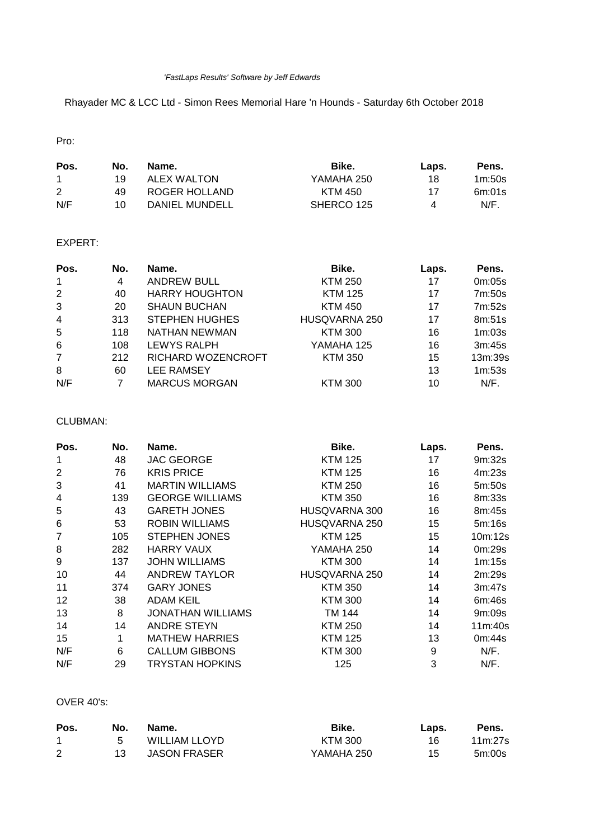#### *'FastLaps Results' Software by Jeff Edwards*

Rhayader MC & LCC Ltd - Simon Rees Memorial Hare 'n Hounds - Saturday 6th October 2018

Pro:

| Pos. | No. | Name.          | Bike.      | Laps. | Pens.   |
|------|-----|----------------|------------|-------|---------|
|      | 19  | ALEX WALTON    | YAMAHA 250 | 18    | 1m:50s  |
| 2    | 49  | ROGER HOLLAND  | KTM 450    | 17    | 6m:01s  |
| N/F  | 10  | DANIEL MUNDELL | SHERCO 125 | 4     | $N/F$ . |

# EXPERT:

| Pos.           | No. | Name.                 | Bike.          | Laps. | Pens.   |
|----------------|-----|-----------------------|----------------|-------|---------|
| $\mathbf{1}$   | 4   | <b>ANDREW BULL</b>    | <b>KTM 250</b> | 17    | 0m:05s  |
| 2              | 40  | <b>HARRY HOUGHTON</b> | <b>KTM 125</b> | 17    | 7m:50s  |
| 3              | 20  | <b>SHAUN BUCHAN</b>   | <b>KTM 450</b> | 17    | 7m:52s  |
| $\overline{4}$ | 313 | <b>STEPHEN HUGHES</b> | HUSQVARNA 250  | 17    | 8m:51s  |
| 5              | 118 | NATHAN NEWMAN         | <b>KTM 300</b> | 16    | 1m:03s  |
| 6              | 108 | LEWYS RALPH           | YAMAHA 125     | 16    | 3m:45s  |
| $\overline{7}$ | 212 | RICHARD WOZENCROFT    | <b>KTM 350</b> | 15    | 13m:39s |
| 8              | 60  | <b>LEE RAMSEY</b>     |                | 13    | 1m:53s  |
| N/F            | 7   | <b>MARCUS MORGAN</b>  | <b>KTM 300</b> | 10    | N/F.    |

# CLUBMAN:

| Pos.           | No. | Name.                    | Bike.          | Laps. | Pens.   |
|----------------|-----|--------------------------|----------------|-------|---------|
| 1              | 48  | <b>JAC GEORGE</b>        | KTM 125        | 17    | 9m:32s  |
| $\overline{2}$ | 76  | <b>KRIS PRICE</b>        | <b>KTM 125</b> | 16    | 4m:23s  |
| 3              | 41  | <b>MARTIN WILLIAMS</b>   | <b>KTM 250</b> | 16    | 5m:50s  |
| 4              | 139 | <b>GEORGE WILLIAMS</b>   | KTM 350        | 16    | 8m:33s  |
| 5              | 43  | <b>GARETH JONES</b>      | HUSQVARNA 300  | 16    | 8m:45s  |
| 6              | 53  | <b>ROBIN WILLIAMS</b>    | HUSQVARNA 250  | 15    | 5m:16s  |
| 7              | 105 | <b>STEPHEN JONES</b>     | <b>KTM 125</b> | 15    | 10m:12s |
| 8              | 282 | <b>HARRY VAUX</b>        | YAMAHA 250     | 14    | 0m:29s  |
| 9              | 137 | <b>JOHN WILLIAMS</b>     | <b>KTM 300</b> | 14    | 1m:15s  |
| 10             | 44  | <b>ANDREW TAYLOR</b>     | HUSQVARNA 250  | 14    | 2m:29s  |
| 11             | 374 | <b>GARY JONES</b>        | <b>KTM 350</b> | 14    | 3m:47s  |
| 12             | 38  | <b>ADAM KEIL</b>         | <b>KTM 300</b> | 14    | 6m:46s  |
| 13             | 8   | <b>JONATHAN WILLIAMS</b> | TM 144         | 14    | 9m:09s  |
| 14             | 14  | <b>ANDRE STEYN</b>       | <b>KTM 250</b> | 14    | 11m:40s |
| 15             | 1   | <b>MATHEW HARRIES</b>    | <b>KTM 125</b> | 13    | 0m:44s  |
| N/F            | 6   | <b>CALLUM GIBBONS</b>    | <b>KTM 300</b> | 9     | N/F.    |
| N/F            | 29  | TRYSTAN HOPKINS          | 125            | 3     | N/F.    |

## OVER 40's:

| Pos. | No. | Name.               | Bike.          | Laps. | Pens.   |
|------|-----|---------------------|----------------|-------|---------|
|      | 5   | WILLIAM LLOYD       | <b>KTM 300</b> | 16    | 11m:27s |
| 2    | 13. | <b>JASON FRASER</b> | YAMAHA 250     | 15    | 5m:00s  |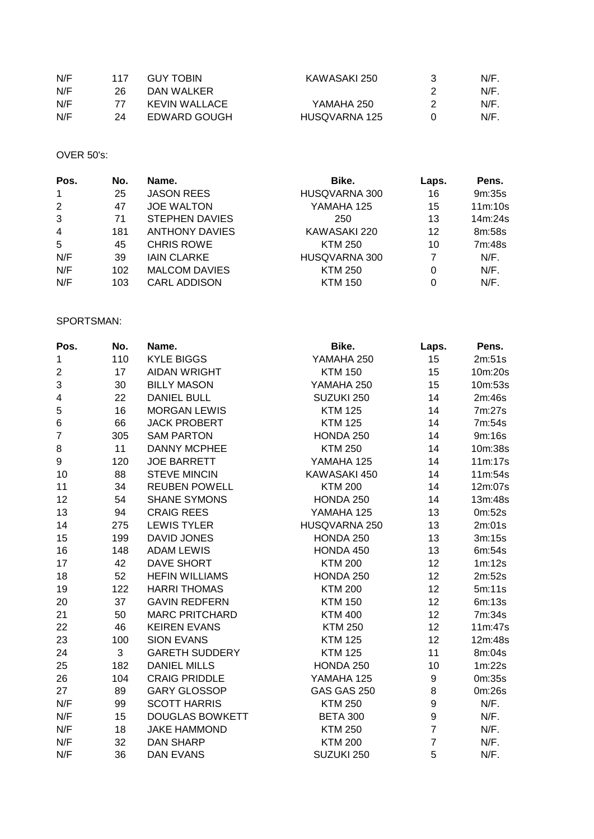| N/F | 117 | <b>GUY TOBIN</b> | KAWASAKI 250  | N/F |
|-----|-----|------------------|---------------|-----|
| N/F | 26  | DAN WALKER       |               | N/F |
| N/F |     | KEVIN WALLACE    | YAMAHA 250    | N/F |
| N/F | 24  | EDWARD GOUGH     | HUSQVARNA 125 | N/F |

## OVER 50's:

| Pos.           | No. | Name.                 | Bike.          | Laps. | Pens.   |
|----------------|-----|-----------------------|----------------|-------|---------|
| $\mathbf{1}$   | 25  | <b>JASON REES</b>     | HUSQVARNA 300  | 16    | 9m:35s  |
| 2              | 47  | <b>JOE WALTON</b>     | YAMAHA 125     | 15    | 11m:10s |
| 3              | 71  | <b>STEPHEN DAVIES</b> | 250            | 13    | 14m:24s |
| $\overline{4}$ | 181 | <b>ANTHONY DAVIES</b> | KAWASAKI 220   | 12    | 8m:58s  |
| 5              | 45  | <b>CHRIS ROWE</b>     | <b>KTM 250</b> | 10    | 7m:48s  |
| N/F            | 39  | <b>IAIN CLARKE</b>    | HUSQVARNA 300  |       | $N/F$ . |
| N/F            | 102 | <b>MALCOM DAVIES</b>  | <b>KTM 250</b> | 0     | $N/F$ . |
| N/F            | 103 | <b>CARL ADDISON</b>   | <b>KTM 150</b> | 0     | $N/F$ . |

## SPORTSMAN:

| Pos.           | No. | Name.                  | Bike.              | Laps.          | Pens.   |
|----------------|-----|------------------------|--------------------|----------------|---------|
| 1              | 110 | <b>KYLE BIGGS</b>      | YAMAHA 250         | 15             | 2m:51s  |
| 2              | 17  | <b>AIDAN WRIGHT</b>    | <b>KTM 150</b>     | 15             | 10m:20s |
| 3              | 30  | <b>BILLY MASON</b>     | YAMAHA 250         | 15             | 10m:53s |
| 4              | 22  | <b>DANIEL BULL</b>     | SUZUKI 250         | 14             | 2m:46s  |
| 5              | 16  | <b>MORGAN LEWIS</b>    | <b>KTM 125</b>     | 14             | 7m:27s  |
| $\,6$          | 66  | <b>JACK PROBERT</b>    | <b>KTM 125</b>     | 14             | 7m:54s  |
| $\overline{7}$ | 305 | <b>SAM PARTON</b>      | HONDA 250          | 14             | 9m:16s  |
| 8              | 11  | <b>DANNY MCPHEE</b>    | <b>KTM 250</b>     | 14             | 10m:38s |
| 9              | 120 | <b>JOE BARRETT</b>     | YAMAHA 125         | 14             | 11m:17s |
| 10             | 88  | <b>STEVE MINCIN</b>    | KAWASAKI 450       | 14             | 11m:54s |
| 11             | 34  | <b>REUBEN POWELL</b>   | <b>KTM 200</b>     | 14             | 12m:07s |
| 12             | 54  | <b>SHANE SYMONS</b>    | HONDA 250          | 14             | 13m:48s |
| 13             | 94  | <b>CRAIG REES</b>      | YAMAHA 125         | 13             | 0m:52s  |
| 14             | 275 | <b>LEWIS TYLER</b>     | HUSQVARNA 250      | 13             | 2m:01s  |
| 15             | 199 | <b>DAVID JONES</b>     | HONDA 250          | 13             | 3m:15s  |
| 16             | 148 | <b>ADAM LEWIS</b>      | HONDA 450          | 13             | 6m:54s  |
| 17             | 42  | DAVE SHORT             | <b>KTM 200</b>     | 12             | 1m:12s  |
| 18             | 52  | <b>HEFIN WILLIAMS</b>  | HONDA 250          | 12             | 2m:52s  |
| 19             | 122 | <b>HARRI THOMAS</b>    | <b>KTM 200</b>     | 12             | 5m:11s  |
| 20             | 37  | <b>GAVIN REDFERN</b>   | <b>KTM 150</b>     | 12             | 6m:13s  |
| 21             | 50  | <b>MARC PRITCHARD</b>  | <b>KTM 400</b>     | 12             | 7m:34s  |
| 22             | 46  | <b>KEIREN EVANS</b>    | <b>KTM 250</b>     | 12             | 11m:47s |
| 23             | 100 | <b>SION EVANS</b>      | <b>KTM 125</b>     | 12             | 12m:48s |
| 24             | 3   | <b>GARETH SUDDERY</b>  | <b>KTM 125</b>     | 11             | 8m:04s  |
| 25             | 182 | <b>DANIEL MILLS</b>    | HONDA 250          | 10             | 1m:22s  |
| 26             | 104 | <b>CRAIG PRIDDLE</b>   | YAMAHA 125         | 9              | 0m:35s  |
| 27             | 89  | <b>GARY GLOSSOP</b>    | <b>GAS GAS 250</b> | 8              | 0m:26s  |
| N/F            | 99  | <b>SCOTT HARRIS</b>    | <b>KTM 250</b>     | 9              | N/F.    |
| N/F            | 15  | <b>DOUGLAS BOWKETT</b> | <b>BETA 300</b>    | 9              | N/F.    |
| N/F            | 18  | <b>JAKE HAMMOND</b>    | <b>KTM 250</b>     | $\overline{7}$ | N/F.    |
| N/F            | 32  | <b>DAN SHARP</b>       | <b>KTM 200</b>     | $\overline{7}$ | N/F.    |
| N/F            | 36  | <b>DAN EVANS</b>       | SUZUKI 250         | 5              | N/F.    |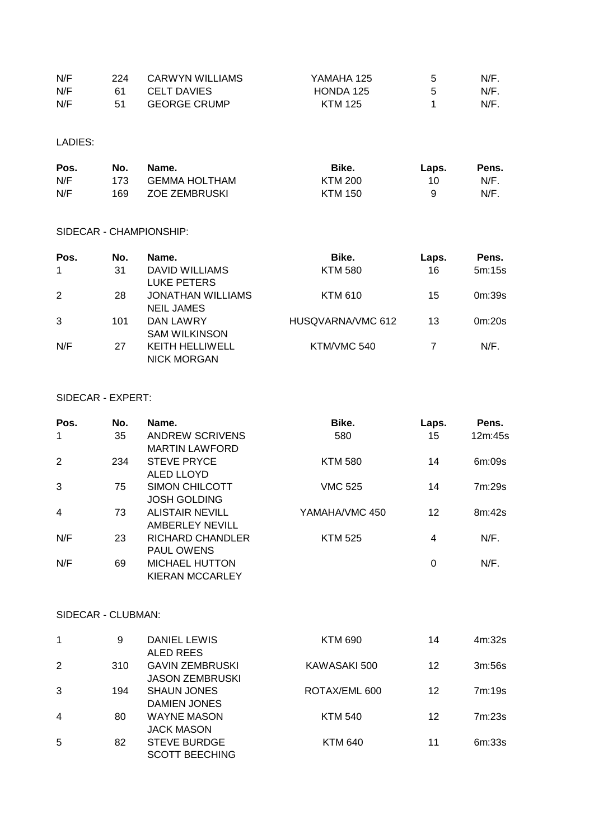| N/F | 224 | CARWYN WILLIAMS     | YAMAHA 125 | N/F. |
|-----|-----|---------------------|------------|------|
| N/F | 61  | CELT DAVIES         | HONDA 125  | N/F. |
| N/F | 51  | <b>GEORGE CRUMP</b> | KTM 125    | N/F. |

LADIES:

| Pos. | No. | Name.         | Bike.   | Laps. | Pens. |
|------|-----|---------------|---------|-------|-------|
| N/F  | 173 | GEMMA HOLTHAM | KTM 200 | 10.   | N/F.  |
| N/F  | 169 | ZOE ZEMBRUSKI | KTM 150 |       | N/F.  |

#### SIDECAR - CHAMPIONSHIP:

| Pos.        | No. | Name.                                         | Bike.             | Laps. | Pens.   |
|-------------|-----|-----------------------------------------------|-------------------|-------|---------|
| $\mathbf 1$ | 31  | DAVID WILLIAMS<br>LUKE PETERS                 | <b>KTM 580</b>    | 16    | 5m:15s  |
| 2           | 28  | <b>JONATHAN WILLIAMS</b><br><b>NEIL JAMES</b> | <b>KTM 610</b>    | 15    | 0m:39s  |
| 3           | 101 | DAN LAWRY<br><b>SAM WILKINSON</b>             | HUSQVARNA/VMC 612 | 13    | 0m:20s  |
| N/F         | 27  | <b>KEITH HELLIWELL</b><br><b>NICK MORGAN</b>  | KTM/VMC 540       |       | $N/F$ . |

#### SIDECAR - EXPERT:

| Pos.           | No. | Name.                   | Bike.          | Laps. | Pens.   |
|----------------|-----|-------------------------|----------------|-------|---------|
| $\mathbf{1}$   | 35  | ANDREW SCRIVENS         | 580            | 15    | 12m:45s |
|                |     | <b>MARTIN LAWFORD</b>   |                |       |         |
| 2              | 234 | <b>STEVE PRYCE</b>      | <b>KTM 580</b> | 14    | 6m:09s  |
|                |     | ALED LLOYD              |                |       |         |
| 3              | 75  | <b>SIMON CHILCOTT</b>   | <b>VMC 525</b> | 14    | 7m:29s  |
|                |     | <b>JOSH GOLDING</b>     |                |       |         |
| $\overline{4}$ | 73  | <b>ALISTAIR NEVILL</b>  | YAMAHA/VMC 450 | 12    | 8m:42s  |
|                |     | AMBERLEY NEVILL         |                |       |         |
| N/F            | 23  | <b>RICHARD CHANDLER</b> | <b>KTM 525</b> | 4     | $N/F$ . |
|                |     | PAUL OWENS              |                |       |         |
| N/F            | 69  | <b>MICHAEL HUTTON</b>   |                | 0     | N/F.    |
|                |     | KIERAN MCCARLEY         |                |       |         |

## SIDECAR - CLUBMAN:

| 1              | 9   | DANIEL LEWIS           | <b>KTM 690</b> | 14 | 4m:32s |
|----------------|-----|------------------------|----------------|----|--------|
|                |     | ALED REES              |                |    |        |
| 2              | 310 | <b>GAVIN ZEMBRUSKI</b> | KAWASAKI 500   | 12 | 3m:56s |
|                |     | <b>JASON ZEMBRUSKI</b> |                |    |        |
| 3              | 194 | <b>SHAUN JONES</b>     | ROTAX/EML 600  | 12 | 7m:19s |
|                |     | DAMIEN JONES           |                |    |        |
| $\overline{4}$ | 80  | <b>WAYNE MASON</b>     | <b>KTM 540</b> | 12 | 7m:23s |
|                |     | <b>JACK MASON</b>      |                |    |        |
| 5              | 82  | <b>STEVE BURDGE</b>    | <b>KTM 640</b> | 11 | 6m:33s |
|                |     | <b>SCOTT BEECHING</b>  |                |    |        |